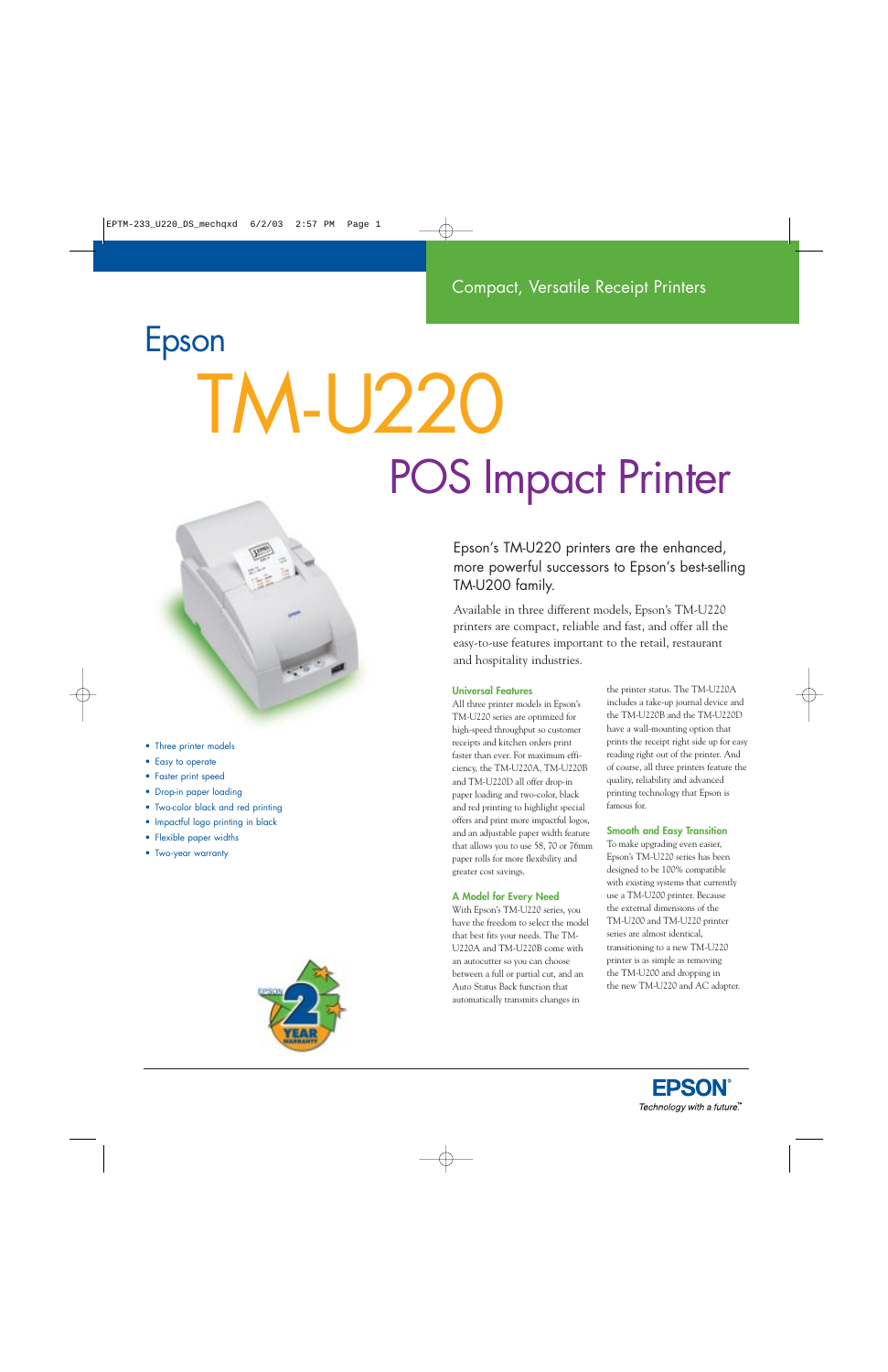# Epson TM-U220 POS Impact Printer



- Three printer models
- Easy to operate
- Faster print speed
- Drop-in paper loading
- Two-color black and red printing
- Impactful logo printing in black
- Flexible paper widths
- Two-year warranty



Epson's TM-U220 printers are the enhanced, more powerful successors to Epson's best-selling TM-U200 family.

Available in three different models, Epson's TM-U220 printers are compact, reliable and fast, and offer all the easy-to-use features important to the retail, restaurant and hospitality industries.

# **Universal Features**

All three printer models in Epson's TM-U220 series are optimized for high-speed throughput so customer receipts and kitchen orders print faster than ever. For maximum efficiency, the TM-U220A, TM-U220B and TM-U220D all offer drop-in paper loading and two-color, black and red printing to highlight special offers and print more impactful logos, and an adjustable paper width feature that allows you to use 58, 70 or 76mm paper rolls for more flexibility and greater cost savings.

# **A Model for Every Need**

With Epson's TM-U220 series, you have the freedom to select the model that best fits your needs. The TM-U220A and TM-U220B come with an autocutter so you can choose between a full or partial cut, and an Auto Status Back function that automatically transmits changes in

the printer status. The TM-U220A includes a take-up journal device and the TM-U220B and the TM-U220D have a wall-mounting option that prints the receipt right side up for easy reading right out of the printer. And of course, all three printers feature the quality, reliability and advanced printing technology that Epson is famous for.

# **Smooth and Easy Transition**

To make upgrading even easier, Epson's TM-U220 series has been designed to be 100% compatible with existing systems that currently use a TM-U200 printer. Because the external dimensions of the TM-U200 and TM-U220 printer series are almost identical, transitioning to a new TM-U220 printer is as simple as removing the TM-U200 and dropping in the new TM-U220 and AC adapter.